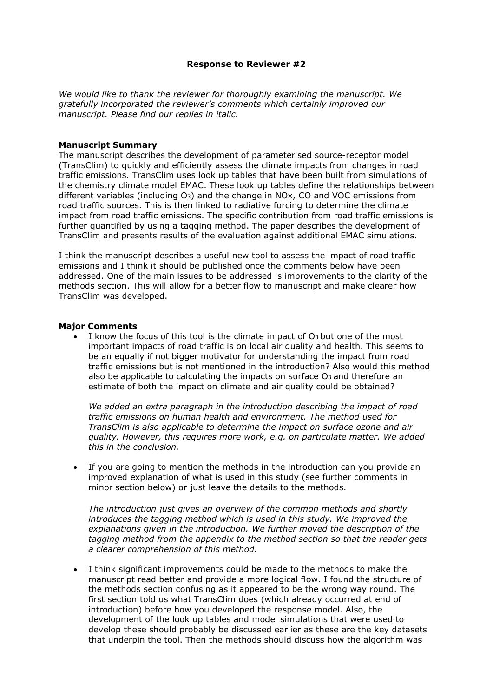## Response to Reviewer #2

We would like to thank the reviewer for thoroughly examining the manuscript. We gratefully incorporated the reviewer's comments which certainly improved our manuscript. Please find our replies in italic.

## Manuscript Summary

The manuscript describes the development of parameterised source-receptor model (TransClim) to quickly and efficiently assess the climate impacts from changes in road traffic emissions. TransClim uses look up tables that have been built from simulations of the chemistry climate model EMAC. These look up tables define the relationships between different variables (including O3) and the change in NOx, CO and VOC emissions from road traffic sources. This is then linked to radiative forcing to determine the climate impact from road traffic emissions. The specific contribution from road traffic emissions is further quantified by using a tagging method. The paper describes the development of TransClim and presents results of the evaluation against additional EMAC simulations.

I think the manuscript describes a useful new tool to assess the impact of road traffic emissions and I think it should be published once the comments below have been addressed. One of the main issues to be addressed is improvements to the clarity of the methods section. This will allow for a better flow to manuscript and make clearer how TransClim was developed.

## Major Comments

 I know the focus of this tool is the climate impact of O3 but one of the most important impacts of road traffic is on local air quality and health. This seems to be an equally if not bigger motivator for understanding the impact from road traffic emissions but is not mentioned in the introduction? Also would this method also be applicable to calculating the impacts on surface O<sub>3</sub> and therefore an estimate of both the impact on climate and air quality could be obtained?

We added an extra paragraph in the introduction describing the impact of road traffic emissions on human health and environment. The method used for TransClim is also applicable to determine the impact on surface ozone and air quality. However, this requires more work, e.g. on particulate matter. We added this in the conclusion.

 If you are going to mention the methods in the introduction can you provide an improved explanation of what is used in this study (see further comments in minor section below) or just leave the details to the methods.

The introduction just gives an overview of the common methods and shortly introduces the tagging method which is used in this study. We improved the explanations given in the introduction. We further moved the description of the tagging method from the appendix to the method section so that the reader gets a clearer comprehension of this method.

 I think significant improvements could be made to the methods to make the manuscript read better and provide a more logical flow. I found the structure of the methods section confusing as it appeared to be the wrong way round. The first section told us what TransClim does (which already occurred at end of introduction) before how you developed the response model. Also, the development of the look up tables and model simulations that were used to develop these should probably be discussed earlier as these are the key datasets that underpin the tool. Then the methods should discuss how the algorithm was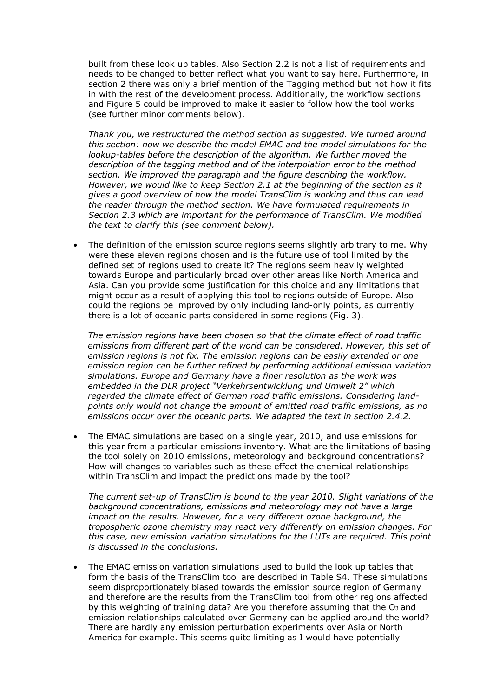built from these look up tables. Also Section 2.2 is not a list of requirements and needs to be changed to better reflect what you want to say here. Furthermore, in section 2 there was only a brief mention of the Tagging method but not how it fits in with the rest of the development process. Additionally, the workflow sections and Figure 5 could be improved to make it easier to follow how the tool works (see further minor comments below).

Thank you, we restructured the method section as suggested. We turned around this section: now we describe the model EMAC and the model simulations for the lookup-tables before the description of the algorithm. We further moved the description of the tagging method and of the interpolation error to the method section. We improved the paragraph and the figure describing the workflow. However, we would like to keep Section 2.1 at the beginning of the section as it gives a good overview of how the model TransClim is working and thus can lead the reader through the method section. We have formulated requirements in Section 2.3 which are important for the performance of TransClim. We modified the text to clarify this (see comment below).

 The definition of the emission source regions seems slightly arbitrary to me. Why were these eleven regions chosen and is the future use of tool limited by the defined set of regions used to create it? The regions seem heavily weighted towards Europe and particularly broad over other areas like North America and Asia. Can you provide some justification for this choice and any limitations that might occur as a result of applying this tool to regions outside of Europe. Also could the regions be improved by only including land-only points, as currently there is a lot of oceanic parts considered in some regions (Fig. 3).

The emission regions have been chosen so that the climate effect of road traffic emissions from different part of the world can be considered. However, this set of emission regions is not fix. The emission regions can be easily extended or one emission region can be further refined by performing additional emission variation simulations. Europe and Germany have a finer resolution as the work was embedded in the DLR project "Verkehrsentwicklung und Umwelt 2" which regarded the climate effect of German road traffic emissions. Considering landpoints only would not change the amount of emitted road traffic emissions, as no emissions occur over the oceanic parts. We adapted the text in section 2.4.2.

 The EMAC simulations are based on a single year, 2010, and use emissions for this year from a particular emissions inventory. What are the limitations of basing the tool solely on 2010 emissions, meteorology and background concentrations? How will changes to variables such as these effect the chemical relationships within TransClim and impact the predictions made by the tool?

The current set-up of TransClim is bound to the year 2010. Slight variations of the background concentrations, emissions and meteorology may not have a large impact on the results. However, for a very different ozone background, the tropospheric ozone chemistry may react very differently on emission changes. For this case, new emission variation simulations for the LUTs are required. This point is discussed in the conclusions.

 The EMAC emission variation simulations used to build the look up tables that form the basis of the TransClim tool are described in Table S4. These simulations seem disproportionately biased towards the emission source region of Germany and therefore are the results from the TransClim tool from other regions affected by this weighting of training data? Are you therefore assuming that the  $O<sub>3</sub>$  and emission relationships calculated over Germany can be applied around the world? There are hardly any emission perturbation experiments over Asia or North America for example. This seems quite limiting as I would have potentially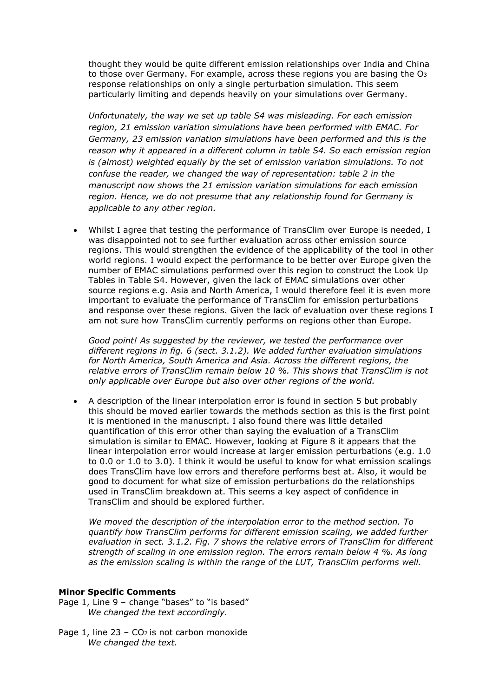thought they would be quite different emission relationships over India and China to those over Germany. For example, across these regions you are basing the  $O<sub>3</sub>$ response relationships on only a single perturbation simulation. This seem particularly limiting and depends heavily on your simulations over Germany.

Unfortunately, the way we set up table S4 was misleading. For each emission region, 21 emission variation simulations have been performed with EMAC. For Germany, 23 emission variation simulations have been performed and this is the reason why it appeared in a different column in table S4. So each emission region is (almost) weighted equally by the set of emission variation simulations. To not confuse the reader, we changed the way of representation: table 2 in the manuscript now shows the 21 emission variation simulations for each emission region. Hence, we do not presume that any relationship found for Germany is applicable to any other region.

 Whilst I agree that testing the performance of TransClim over Europe is needed, I was disappointed not to see further evaluation across other emission source regions. This would strengthen the evidence of the applicability of the tool in other world regions. I would expect the performance to be better over Europe given the number of EMAC simulations performed over this region to construct the Look Up Tables in Table S4. However, given the lack of EMAC simulations over other source regions e.g. Asia and North America, I would therefore feel it is even more important to evaluate the performance of TransClim for emission perturbations and response over these regions. Given the lack of evaluation over these regions I am not sure how TransClim currently performs on regions other than Europe.

Good point! As suggested by the reviewer, we tested the performance over different regions in fig. 6 (sect. 3.1.2). We added further evaluation simulations for North America, South America and Asia. Across the different regions, the relative errors of TransClim remain below 10 %. This shows that TransClim is not only applicable over Europe but also over other regions of the world.

 A description of the linear interpolation error is found in section 5 but probably this should be moved earlier towards the methods section as this is the first point it is mentioned in the manuscript. I also found there was little detailed quantification of this error other than saying the evaluation of a TransClim simulation is similar to EMAC. However, looking at Figure 8 it appears that the linear interpolation error would increase at larger emission perturbations (e.g. 1.0 to 0.0 or 1.0 to 3.0). I think it would be useful to know for what emission scalings does TransClim have low errors and therefore performs best at. Also, it would be good to document for what size of emission perturbations do the relationships used in TransClim breakdown at. This seems a key aspect of confidence in TransClim and should be explored further.

We moved the description of the interpolation error to the method section. To quantify how TransClim performs for different emission scaling, we added further evaluation in sect. 3.1.2. Fig. 7 shows the relative errors of TransClim for different strength of scaling in one emission region. The errors remain below 4 %. As long as the emission scaling is within the range of the LUT, TransClim performs well.

## Minor Specific Comments

- Page 1, Line 9 change "bases" to "is based" We changed the text accordingly.
- Page 1, line  $23 CO<sub>2</sub>$  is not carbon monoxide We changed the text.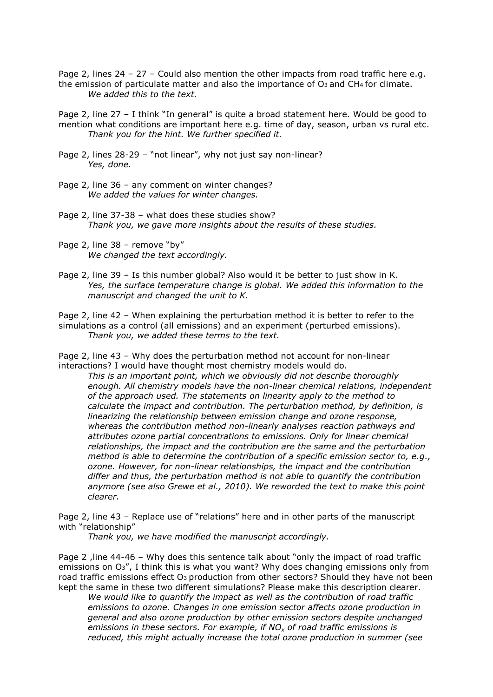Page 2, lines 24 - 27 - Could also mention the other impacts from road traffic here e.g. the emission of particulate matter and also the importance of  $O_3$  and  $CH_4$  for climate. We added this to the text.

Page 2, line 27 – I think "In general" is quite a broad statement here. Would be good to mention what conditions are important here e.g. time of day, season, urban vs rural etc. Thank you for the hint. We further specified it.

- Page 2, lines 28-29 "not linear", why not just say non-linear? Yes, done.
- Page 2, line 36 any comment on winter changes? We added the values for winter changes.
- Page 2, line 37-38 what does these studies show? Thank you, we gave more insights about the results of these studies.
- Page 2, line 38 remove "by" We changed the text accordingly.
- Page 2, line 39 Is this number global? Also would it be better to just show in K. Yes, the surface temperature change is global. We added this information to the manuscript and changed the unit to K.

Page 2, line 42 – When explaining the perturbation method it is better to refer to the simulations as a control (all emissions) and an experiment (perturbed emissions). Thank you, we added these terms to the text.

Page 2, line 43 – Why does the perturbation method not account for non-linear interactions? I would have thought most chemistry models would do.

This is an important point, which we obviously did not describe thoroughly enough. All chemistry models have the non-linear chemical relations, independent of the approach used. The statements on linearity apply to the method to calculate the impact and contribution. The perturbation method, by definition, is linearizing the relationship between emission change and ozone response, whereas the contribution method non-linearly analyses reaction pathways and attributes ozone partial concentrations to emissions. Only for linear chemical relationships, the impact and the contribution are the same and the perturbation method is able to determine the contribution of a specific emission sector to, e.g., ozone. However, for non-linear relationships, the impact and the contribution differ and thus, the perturbation method is not able to quantify the contribution anymore (see also Grewe et al., 2010). We reworded the text to make this point clearer.

Page 2, line 43 – Replace use of "relations" here and in other parts of the manuscript with "relationship"

Thank you, we have modified the manuscript accordingly.

Page 2 , line 44-46 - Why does this sentence talk about "only the impact of road traffic emissions on O3", I think this is what you want? Why does changing emissions only from road traffic emissions effect O<sub>3</sub> production from other sectors? Should they have not been kept the same in these two different simulations? Please make this description clearer.

We would like to quantify the impact as well as the contribution of road traffic emissions to ozone. Changes in one emission sector affects ozone production in general and also ozone production by other emission sectors despite unchanged emissions in these sectors. For example, if  $NO<sub>x</sub>$  of road traffic emissions is reduced, this might actually increase the total ozone production in summer (see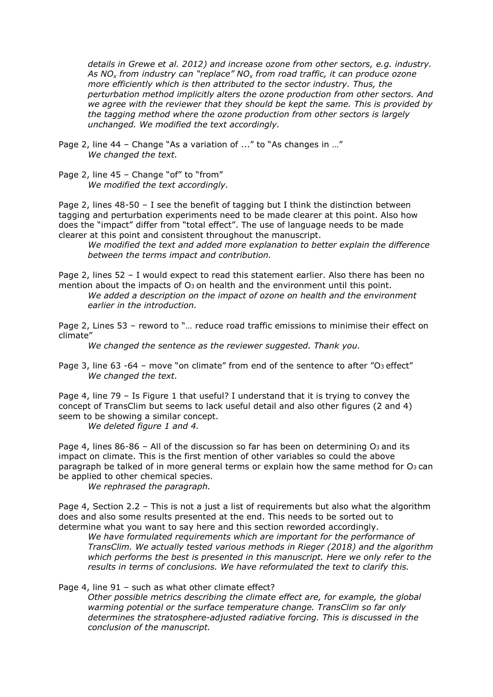details in Grewe et al. 2012) and increase ozone from other sectors, e.g. industry. As NO<sub>x</sub> from industry can "replace" NO<sub>x</sub> from road traffic, it can produce ozone more efficiently which is then attributed to the sector industry. Thus, the perturbation method implicitly alters the ozone production from other sectors. And we agree with the reviewer that they should be kept the same. This is provided by the tagging method where the ozone production from other sectors is largely unchanged. We modified the text accordingly.

Page 2, line 44 – Change "As a variation of ..." to "As changes in …" We changed the text.

Page 2, line 45 - Change "of" to "from" We modified the text accordingly.

Page 2, lines 48-50 – I see the benefit of tagging but I think the distinction between tagging and perturbation experiments need to be made clearer at this point. Also how does the "impact" differ from "total effect". The use of language needs to be made clearer at this point and consistent throughout the manuscript.

We modified the text and added more explanation to better explain the difference between the terms impact and contribution.

Page 2, lines 52 - I would expect to read this statement earlier. Also there has been no mention about the impacts of  $O_3$  on health and the environment until this point.

We added a description on the impact of ozone on health and the environment earlier in the introduction.

Page 2, Lines 53 – reword to "… reduce road traffic emissions to minimise their effect on climate"

We changed the sentence as the reviewer suggested. Thank you.

Page 3, line 63 -64 - move "on climate" from end of the sentence to after "O<sub>3</sub> effect" We changed the text.

Page 4, line 79 – Is Figure 1 that useful? I understand that it is trying to convey the concept of TransClim but seems to lack useful detail and also other figures (2 and 4) seem to be showing a similar concept.

We deleted figure 1 and 4.

Page 4, lines  $86-86$  – All of the discussion so far has been on determining O<sub>3</sub> and its impact on climate. This is the first mention of other variables so could the above paragraph be talked of in more general terms or explain how the same method for  $O_3$  can be applied to other chemical species.

We rephrased the paragraph.

Page 4, Section 2.2 – This is not a just a list of requirements but also what the algorithm does and also some results presented at the end. This needs to be sorted out to determine what you want to say here and this section reworded accordingly.

We have formulated requirements which are important for the performance of TransClim. We actually tested various methods in Rieger (2018) and the algorithm which performs the best is presented in this manuscript. Here we only refer to the results in terms of conclusions. We have reformulated the text to clarify this.

Page 4, line 91 – such as what other climate effect?

Other possible metrics describing the climate effect are, for example, the global warming potential or the surface temperature change. TransClim so far only determines the stratosphere-adjusted radiative forcing. This is discussed in the conclusion of the manuscript.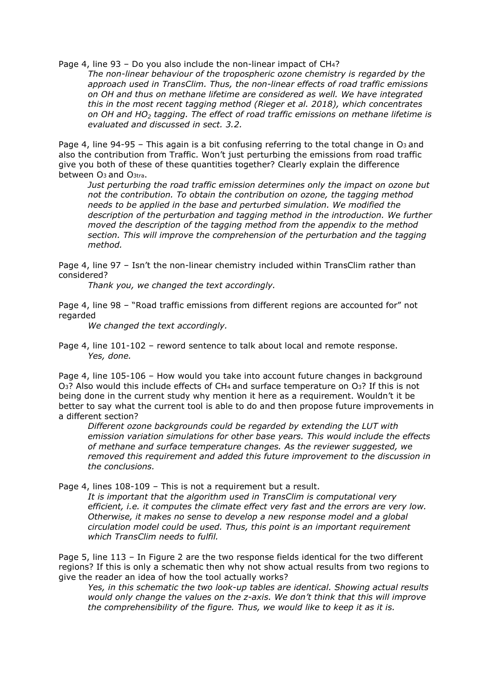Page 4, line 93 - Do you also include the non-linear impact of CH<sub>4</sub>?

The non-linear behaviour of the tropospheric ozone chemistry is regarded by the approach used in TransClim. Thus, the non-linear effects of road traffic emissions on OH and thus on methane lifetime are considered as well. We have integrated this in the most recent tagging method (Rieger et al. 2018), which concentrates on OH and HO<sub>2</sub> tagging. The effect of road traffic emissions on methane lifetime is evaluated and discussed in sect. 3.2.

Page 4, line 94-95 – This again is a bit confusing referring to the total change in  $O_3$  and also the contribution from Traffic. Won't just perturbing the emissions from road traffic give you both of these of these quantities together? Clearly explain the difference between O3 and O3tra.

Just perturbing the road traffic emission determines only the impact on ozone but not the contribution. To obtain the contribution on ozone, the tagging method needs to be applied in the base and perturbed simulation. We modified the description of the perturbation and tagging method in the introduction. We further moved the description of the tagging method from the appendix to the method section. This will improve the comprehension of the perturbation and the tagging method.

Page 4, line 97 – Isn't the non-linear chemistry included within TransClim rather than considered?

Thank you, we changed the text accordingly.

Page 4, line 98 – "Road traffic emissions from different regions are accounted for" not regarded

We changed the text accordingly.

Page 4, line 101-102 – reword sentence to talk about local and remote response. Yes, done.

Page 4, line 105-106 – How would you take into account future changes in background O3? Also would this include effects of CH4 and surface temperature on O3? If this is not being done in the current study why mention it here as a requirement. Wouldn't it be better to say what the current tool is able to do and then propose future improvements in a different section?

Different ozone backgrounds could be regarded by extending the LUT with emission variation simulations for other base years. This would include the effects of methane and surface temperature changes. As the reviewer suggested, we removed this requirement and added this future improvement to the discussion in the conclusions.

Page 4, lines 108-109 – This is not a requirement but a result.

It is important that the algorithm used in TransClim is computational very efficient, i.e. it computes the climate effect very fast and the errors are very low. Otherwise, it makes no sense to develop a new response model and a global circulation model could be used. Thus, this point is an important requirement which TransClim needs to fulfil.

Page 5, line 113 – In Figure 2 are the two response fields identical for the two different regions? If this is only a schematic then why not show actual results from two regions to give the reader an idea of how the tool actually works?

Yes, in this schematic the two look-up tables are identical. Showing actual results would only change the values on the z-axis. We don't think that this will improve the comprehensibility of the figure. Thus, we would like to keep it as it is.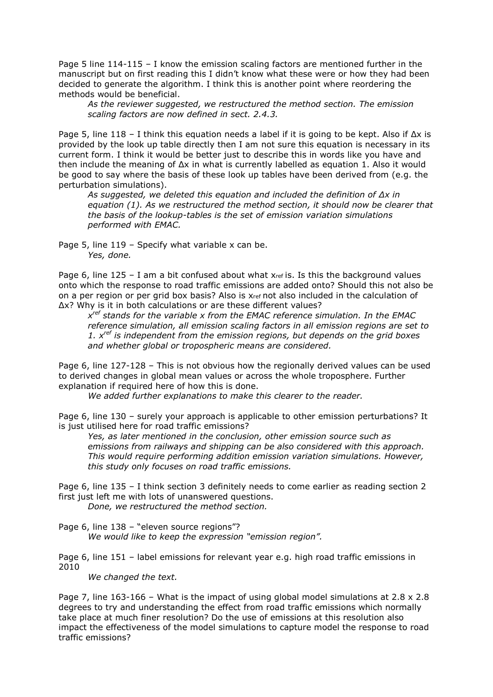Page 5 line 114-115 – I know the emission scaling factors are mentioned further in the manuscript but on first reading this I didn't know what these were or how they had been decided to generate the algorithm. I think this is another point where reordering the methods would be beneficial.

As the reviewer suggested, we restructured the method section. The emission scaling factors are now defined in sect. 2.4.3.

Page 5, line 118 – I think this equation needs a label if it is going to be kept. Also if Δx is provided by the look up table directly then I am not sure this equation is necessary in its current form. I think it would be better just to describe this in words like you have and then include the meaning of  $\Delta x$  in what is currently labelled as equation 1. Also it would be good to say where the basis of these look up tables have been derived from (e.g. the perturbation simulations).

As suggested, we deleted this equation and included the definition of  $\Delta x$  in equation (1). As we restructured the method section, it should now be clearer that the basis of the lookup-tables is the set of emission variation simulations performed with EMAC.

Page 5, line 119 - Specify what variable x can be. Yes, done.

Page 6, line  $125 - I$  am a bit confused about what  $x_{ref}$  is. Is this the background values onto which the response to road traffic emissions are added onto? Should this not also be on a per region or per grid box basis? Also is xref not also included in the calculation of Δx? Why is it in both calculations or are these different values?

 $x^{ref}$  stands for the variable x from the EMAC reference simulation. In the EMAC reference simulation, all emission scaling factors in all emission regions are set to 1.  $x^{ref}$  is independent from the emission regions, but depends on the grid boxes and whether global or tropospheric means are considered.

Page 6, line 127-128 – This is not obvious how the regionally derived values can be used to derived changes in global mean values or across the whole troposphere. Further explanation if required here of how this is done.

We added further explanations to make this clearer to the reader.

Page 6, line 130 – surely your approach is applicable to other emission perturbations? It is just utilised here for road traffic emissions?

Yes, as later mentioned in the conclusion, other emission source such as emissions from railways and shipping can be also considered with this approach. This would require performing addition emission variation simulations. However, this study only focuses on road traffic emissions.

Page 6, line 135 – I think section 3 definitely needs to come earlier as reading section 2 first just left me with lots of unanswered questions.

Done, we restructured the method section.

Page 6, line 138 – "eleven source regions"?

We would like to keep the expression "emission region".

Page 6, line 151 – label emissions for relevant year e.g. high road traffic emissions in 2010

We changed the text.

Page 7, line  $163-166$  – What is the impact of using global model simulations at  $2.8 \times 2.8$ degrees to try and understanding the effect from road traffic emissions which normally take place at much finer resolution? Do the use of emissions at this resolution also impact the effectiveness of the model simulations to capture model the response to road traffic emissions?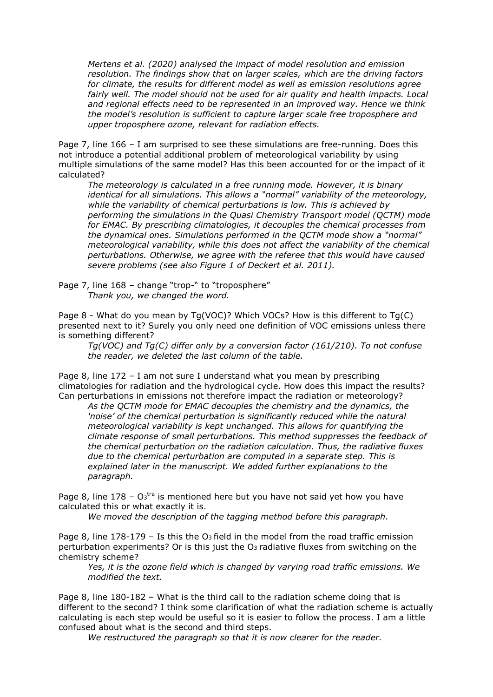Mertens et al. (2020) analysed the impact of model resolution and emission resolution. The findings show that on larger scales, which are the driving factors for climate, the results for different model as well as emission resolutions agree fairly well. The model should not be used for air quality and health impacts. Local and regional effects need to be represented in an improved way. Hence we think the model's resolution is sufficient to capture larger scale free troposphere and upper troposphere ozone, relevant for radiation effects.

Page 7, line 166 – I am surprised to see these simulations are free-running. Does this not introduce a potential additional problem of meteorological variability by using multiple simulations of the same model? Has this been accounted for or the impact of it calculated?

The meteorology is calculated in a free running mode. However, it is binary identical for all simulations. This allows a "normal" variability of the meteorology, while the variability of chemical perturbations is low. This is achieved by performing the simulations in the Quasi Chemistry Transport model (QCTM) mode for EMAC. By prescribing climatologies, it decouples the chemical processes from the dynamical ones. Simulations performed in the QCTM mode show a "normal" meteorological variability, while this does not affect the variability of the chemical perturbations. Otherwise, we agree with the referee that this would have caused severe problems (see also Figure 1 of Deckert et al. 2011).

Page 7, line 168 - change "trop-" to "troposphere" Thank you, we changed the word.

Page 8 - What do you mean by Tg(VOC)? Which VOCs? How is this different to Tg(C) presented next to it? Surely you only need one definition of VOC emissions unless there is something different?

Tg(VOC) and Tg(C) differ only by a conversion factor (161/210). To not confuse the reader, we deleted the last column of the table.

Page 8, line 172 – I am not sure I understand what you mean by prescribing climatologies for radiation and the hydrological cycle. How does this impact the results? Can perturbations in emissions not therefore impact the radiation or meteorology?

As the QCTM mode for EMAC decouples the chemistry and the dynamics, the 'noise' of the chemical perturbation is significantly reduced while the natural meteorological variability is kept unchanged. This allows for quantifying the climate response of small perturbations. This method suppresses the feedback of the chemical perturbation on the radiation calculation. Thus, the radiative fluxes due to the chemical perturbation are computed in a separate step. This is explained later in the manuscript. We added further explanations to the paragraph.

Page 8, line  $178 - O<sub>3</sub>$ <sup>tra</sup> is mentioned here but you have not said yet how you have calculated this or what exactly it is.

We moved the description of the tagging method before this paragraph.

Page 8, line  $178-179$  – Is this the O<sub>3</sub> field in the model from the road traffic emission perturbation experiments? Or is this just the O3 radiative fluxes from switching on the chemistry scheme?

Yes, it is the ozone field which is changed by varying road traffic emissions. We modified the text.

Page 8, line 180-182 – What is the third call to the radiation scheme doing that is different to the second? I think some clarification of what the radiation scheme is actually calculating is each step would be useful so it is easier to follow the process. I am a little confused about what is the second and third steps.

We restructured the paragraph so that it is now clearer for the reader.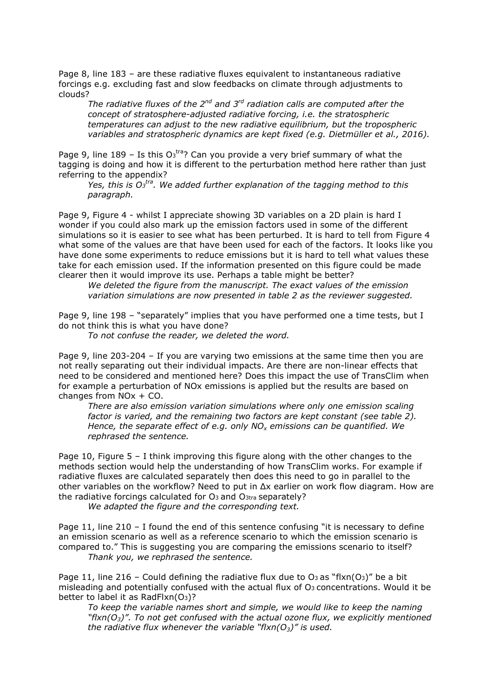Page 8, line 183 – are these radiative fluxes equivalent to instantaneous radiative forcings e.g. excluding fast and slow feedbacks on climate through adjustments to clouds?

The radiative fluxes of the  $2^{nd}$  and  $3^{rd}$  radiation calls are computed after the concept of stratosphere-adjusted radiative forcing, i.e. the stratospheric temperatures can adjust to the new radiative equilibrium, but the tropospheric variables and stratospheric dynamics are kept fixed (e.g. Dietmüller et al., 2016).

Page 9, line 189 - Is this  $O<sub>3</sub>$ <sup>tra</sup>? Can you provide a very brief summary of what the tagging is doing and how it is different to the perturbation method here rather than just referring to the appendix?

Yes, this is  $O_3$ <sup>tra</sup>. We added further explanation of the tagging method to this paragraph.

Page 9, Figure 4 - whilst I appreciate showing 3D variables on a 2D plain is hard I wonder if you could also mark up the emission factors used in some of the different simulations so it is easier to see what has been perturbed. It is hard to tell from Figure 4 what some of the values are that have been used for each of the factors. It looks like you have done some experiments to reduce emissions but it is hard to tell what values these take for each emission used. If the information presented on this figure could be made clearer then it would improve its use. Perhaps a table might be better?

We deleted the figure from the manuscript. The exact values of the emission variation simulations are now presented in table 2 as the reviewer suggested.

Page 9, line 198 – "separately" implies that you have performed one a time tests, but I do not think this is what you have done?

To not confuse the reader, we deleted the word.

Page 9, line 203-204 – If you are varying two emissions at the same time then you are not really separating out their individual impacts. Are there are non-linear effects that need to be considered and mentioned here? Does this impact the use of TransClim when for example a perturbation of NOx emissions is applied but the results are based on changes from NOx + CO.

There are also emission variation simulations where only one emission scaling factor is varied, and the remaining two factors are kept constant (see table 2). Hence, the separate effect of e.g. only  $NO_x$  emissions can be quantified. We rephrased the sentence.

Page 10, Figure 5 - I think improving this figure along with the other changes to the methods section would help the understanding of how TransClim works. For example if radiative fluxes are calculated separately then does this need to go in parallel to the other variables on the workflow? Need to put in Δx earlier on work flow diagram. How are the radiative forcings calculated for O3 and O3tra separately?

We adapted the figure and the corresponding text.

Page 11, line 210 – I found the end of this sentence confusing "it is necessary to define an emission scenario as well as a reference scenario to which the emission scenario is compared to." This is suggesting you are comparing the emissions scenario to itself? Thank you, we rephrased the sentence.

Page 11, line 216 – Could defining the radiative flux due to  $O_3$  as "flxn( $O_3$ )" be a bit misleading and potentially confused with the actual flux of  $O<sub>3</sub>$  concentrations. Would it be better to label it as RadFlxn(O3)?

To keep the variable names short and simple, we would like to keep the naming "flxn( $O_3$ )". To not get confused with the actual ozone flux, we explicitly mentioned the radiative flux whenever the variable "flxn( $O_3$ )" is used.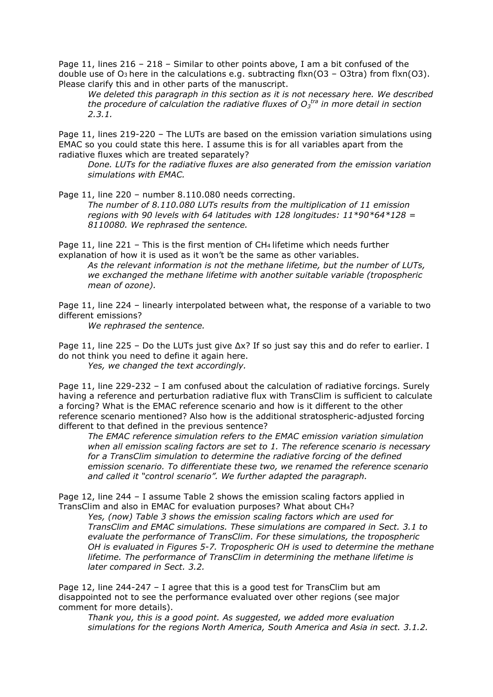Page 11, lines 216 – 218 – Similar to other points above, I am a bit confused of the double use of O<sub>3</sub> here in the calculations e.g. subtracting flxn(O3 – O3tra) from flxn(O3). Please clarify this and in other parts of the manuscript.

We deleted this paragraph in this section as it is not necessary here. We described the procedure of calculation the radiative fluxes of  $O_3$ <sup>tra</sup> in more detail in section 2.3.1.

Page 11, lines 219-220 – The LUTs are based on the emission variation simulations using EMAC so you could state this here. I assume this is for all variables apart from the radiative fluxes which are treated separately?

Done. LUTs for the radiative fluxes are also generated from the emission variation simulations with EMAC.

Page 11, line 220 - number 8.110.080 needs correcting.

The number of 8.110.080 LUTs results from the multiplication of 11 emission regions with 90 levels with 64 latitudes with 128 longitudes:  $11*90*64*128 =$ 8110080. We rephrased the sentence.

Page 11, line 221 – This is the first mention of CH<sub>4</sub> lifetime which needs further explanation of how it is used as it won't be the same as other variables.

As the relevant information is not the methane lifetime, but the number of LUTs, we exchanged the methane lifetime with another suitable variable (tropospheric mean of ozone).

Page 11, line 224 – linearly interpolated between what, the response of a variable to two different emissions?

We rephrased the sentence.

Page 11, line 225 – Do the LUTs just give  $\Delta x$ ? If so just say this and do refer to earlier. I do not think you need to define it again here.

Yes, we changed the text accordingly.

Page 11, line 229-232 – I am confused about the calculation of radiative forcings. Surely having a reference and perturbation radiative flux with TransClim is sufficient to calculate a forcing? What is the EMAC reference scenario and how is it different to the other reference scenario mentioned? Also how is the additional stratospheric-adjusted forcing different to that defined in the previous sentence?

The EMAC reference simulation refers to the EMAC emission variation simulation when all emission scaling factors are set to 1. The reference scenario is necessary for a TransClim simulation to determine the radiative forcing of the defined emission scenario. To differentiate these two, we renamed the reference scenario and called it "control scenario". We further adapted the paragraph.

Page 12, line 244 – I assume Table 2 shows the emission scaling factors applied in TransClim and also in EMAC for evaluation purposes? What about CH4?

Yes, (now) Table 3 shows the emission scaling factors which are used for TransClim and EMAC simulations. These simulations are compared in Sect. 3.1 to evaluate the performance of TransClim. For these simulations, the tropospheric OH is evaluated in Figures 5-7. Tropospheric OH is used to determine the methane lifetime. The performance of TransClim in determining the methane lifetime is later compared in Sect. 3.2.

Page 12, line 244-247 – I agree that this is a good test for TransClim but am disappointed not to see the performance evaluated over other regions (see major comment for more details).

Thank you, this is a good point. As suggested, we added more evaluation simulations for the regions North America, South America and Asia in sect. 3.1.2.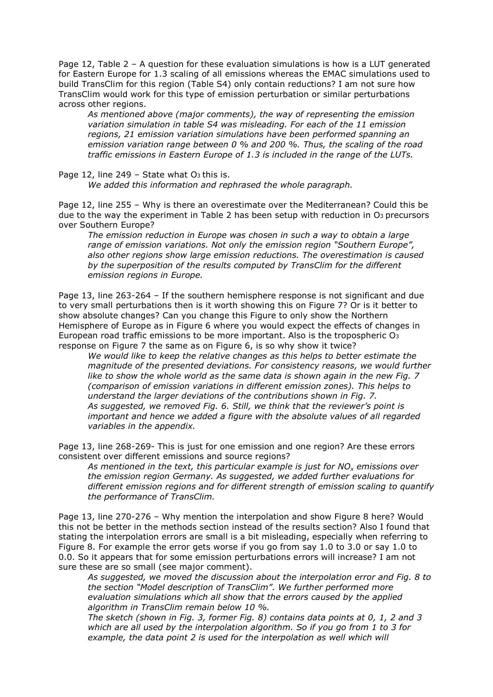Page 12, Table 2 – A question for these evaluation simulations is how is a LUT generated for Eastern Europe for 1.3 scaling of all emissions whereas the EMAC simulations used to build TransClim for this region (Table S4) only contain reductions? I am not sure how TransClim would work for this type of emission perturbation or similar perturbations across other regions.

As mentioned above (major comments), the way of representing the emission variation simulation in table S4 was misleading. For each of the 11 emission regions, 21 emission variation simulations have been performed spanning an emission variation range between 0 % and 200 %. Thus, the scaling of the road traffic emissions in Eastern Europe of 1.3 is included in the range of the LUTs.

Page 12, line 249 – State what  $O<sub>3</sub>$  this is.

We added this information and rephrased the whole paragraph.

Page 12, line 255 – Why is there an overestimate over the Mediterranean? Could this be due to the way the experiment in Table 2 has been setup with reduction in O<sub>3</sub> precursors over Southern Europe?

The emission reduction in Europe was chosen in such a way to obtain a large range of emission variations. Not only the emission region "Southern Europe", also other regions show large emission reductions. The overestimation is caused by the superposition of the results computed by TransClim for the different emission regions in Europe.

Page 13, line 263-264 – If the southern hemisphere response is not significant and due to very small perturbations then is it worth showing this on Figure 7? Or is it better to show absolute changes? Can you change this Figure to only show the Northern Hemisphere of Europe as in Figure 6 where you would expect the effects of changes in European road traffic emissions to be more important. Also is the tropospheric O<sup>3</sup> response on Figure 7 the same as on Figure 6, is so why show it twice?

We would like to keep the relative changes as this helps to better estimate the magnitude of the presented deviations. For consistency reasons, we would further like to show the whole world as the same data is shown again in the new Fig. 7 (comparison of emission variations in different emission zones). This helps to understand the larger deviations of the contributions shown in Fig. 7. As suggested, we removed Fig. 6. Still, we think that the reviewer's point is important and hence we added a figure with the absolute values of all regarded variables in the appendix.

Page 13, line 268-269- This is just for one emission and one region? Are these errors consistent over different emissions and source regions?

As mentioned in the text, this particular example is just for  $NO<sub>x</sub>$  emissions over the emission region Germany. As suggested, we added further evaluations for different emission regions and for different strength of emission scaling to quantify the performance of TransClim.

Page 13, line 270-276 – Why mention the interpolation and show Figure 8 here? Would this not be better in the methods section instead of the results section? Also I found that stating the interpolation errors are small is a bit misleading, especially when referring to Figure 8. For example the error gets worse if you go from say 1.0 to 3.0 or say 1.0 to 0.0. So it appears that for some emission perturbations errors will increase? I am not sure these are so small (see major comment).

As suggested, we moved the discussion about the interpolation error and Fig. 8 to the section "Model description of TransClim". We further performed more evaluation simulations which all show that the errors caused by the applied algorithm in TransClim remain below 10 %.

The sketch (shown in Fig. 3, former Fig. 8) contains data points at 0, 1, 2 and 3 which are all used by the interpolation algorithm. So if you go from 1 to 3 for example, the data point 2 is used for the interpolation as well which will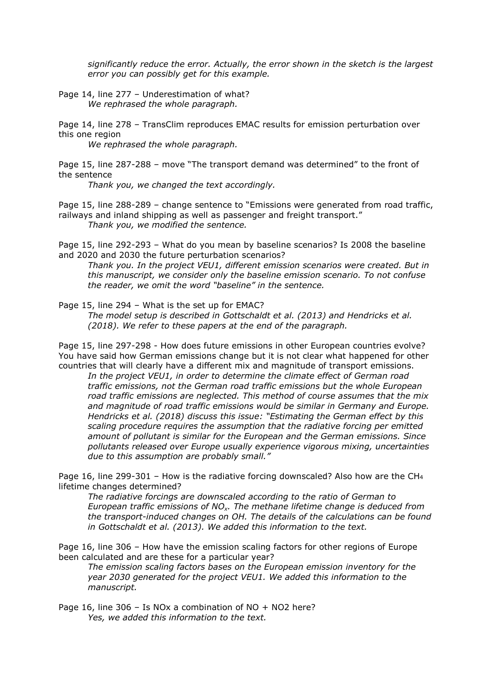significantly reduce the error. Actually, the error shown in the sketch is the largest error you can possibly get for this example.

Page 14, line 277 – Underestimation of what? We rephrased the whole paragraph.

Page 14, line 278 – TransClim reproduces EMAC results for emission perturbation over this one region

We rephrased the whole paragraph.

Page 15, line 287-288 – move "The transport demand was determined" to the front of the sentence

Thank you, we changed the text accordingly.

Page 15, line 288-289 – change sentence to "Emissions were generated from road traffic, railways and inland shipping as well as passenger and freight transport." Thank you, we modified the sentence.

Page 15, line 292-293 – What do you mean by baseline scenarios? Is 2008 the baseline and 2020 and 2030 the future perturbation scenarios?

Thank you. In the project VEU1, different emission scenarios were created. But in this manuscript, we consider only the baseline emission scenario. To not confuse the reader, we omit the word "baseline" in the sentence.

Page 15, line 294 – What is the set up for EMAC?

The model setup is described in Gottschaldt et al. (2013) and Hendricks et al. (2018). We refer to these papers at the end of the paragraph.

Page 15, line 297-298 - How does future emissions in other European countries evolve? You have said how German emissions change but it is not clear what happened for other countries that will clearly have a different mix and magnitude of transport emissions.

In the project VEU1, in order to determine the climate effect of German road traffic emissions, not the German road traffic emissions but the whole European road traffic emissions are neglected. This method of course assumes that the mix and magnitude of road traffic emissions would be similar in Germany and Europe. Hendricks et al. (2018) discuss this issue: "Estimating the German effect by this scaling procedure requires the assumption that the radiative forcing per emitted amount of pollutant is similar for the European and the German emissions. Since pollutants released over Europe usually experience vigorous mixing, uncertainties due to this assumption are probably small."

Page 16, line 299-301 – How is the radiative forcing downscaled? Also how are the CH<sup>4</sup> lifetime changes determined?

The radiative forcings are downscaled according to the ratio of German to European traffic emissions of  $NO<sub>x</sub>$ . The methane lifetime change is deduced from the transport-induced changes on OH. The details of the calculations can be found in Gottschaldt et al. (2013). We added this information to the text.

Page 16, line 306 – How have the emission scaling factors for other regions of Europe been calculated and are these for a particular year?

The emission scaling factors bases on the European emission inventory for the year 2030 generated for the project VEU1. We added this information to the manuscript.

Page 16, line 306 – Is NOx a combination of NO + NO2 here? Yes, we added this information to the text.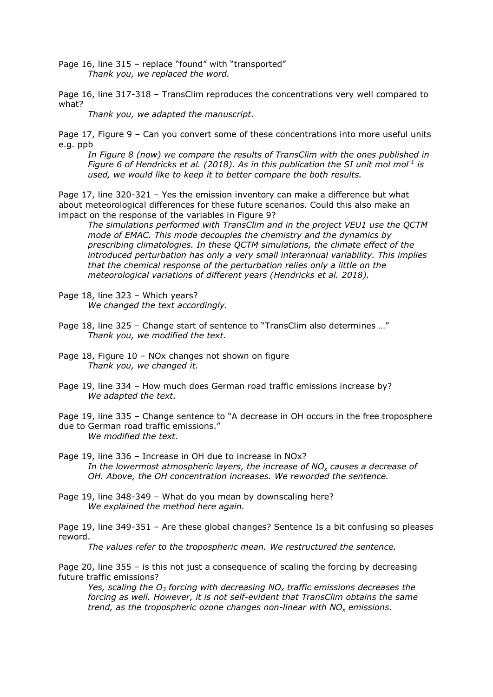Page 16, line 315 - replace "found" with "transported" Thank you, we replaced the word.

Page 16, line 317-318 – TransClim reproduces the concentrations very well compared to what?

Thank you, we adapted the manuscript.

Page 17, Figure 9 – Can you convert some of these concentrations into more useful units e.g. ppb

In Figure 8 (now) we compare the results of TransClim with the ones published in Figure 6 of Hendricks et al. (2018). As in this publication the SI unit mol mol<sup>-1</sup> is used, we would like to keep it to better compare the both results.

Page 17, line 320-321 – Yes the emission inventory can make a difference but what about meteorological differences for these future scenarios. Could this also make an impact on the response of the variables in Figure 9?

The simulations performed with TransClim and in the project VEU1 use the QCTM mode of EMAC. This mode decouples the chemistry and the dynamics by prescribing climatologies. In these QCTM simulations, the climate effect of the introduced perturbation has only a very small interannual variability. This implies that the chemical response of the perturbation relies only a little on the meteorological variations of different years (Hendricks et al. 2018).

Page 18, line 323 – Which years? We changed the text accordingly.

- Page 18, line 325 Change start of sentence to "TransClim also determines …" Thank you, we modified the text.
- Page 18, Figure 10 NOx changes not shown on figure Thank you, we changed it.
- Page 19, line 334 How much does German road traffic emissions increase by? We adapted the text.

Page 19, line 335 – Change sentence to "A decrease in OH occurs in the free troposphere due to German road traffic emissions." We modified the text.

Page 19, line 336 – Increase in OH due to increase in NOx?

In the lowermost atmospheric layers, the increase of  $NO<sub>x</sub>$  causes a decrease of OH. Above, the OH concentration increases. We reworded the sentence.

Page 19, line 348-349 – What do you mean by downscaling here? We explained the method here again.

Page 19, line 349-351 – Are these global changes? Sentence Is a bit confusing so pleases reword.

The values refer to the tropospheric mean. We restructured the sentence.

Page 20, line 355 – is this not just a consequence of scaling the forcing by decreasing future traffic emissions?

Yes, scaling the  $O_3$  forcing with decreasing NO<sub>x</sub> traffic emissions decreases the forcing as well. However, it is not self-evident that TransClim obtains the same trend, as the tropospheric ozone changes non-linear with  $NO<sub>x</sub>$  emissions.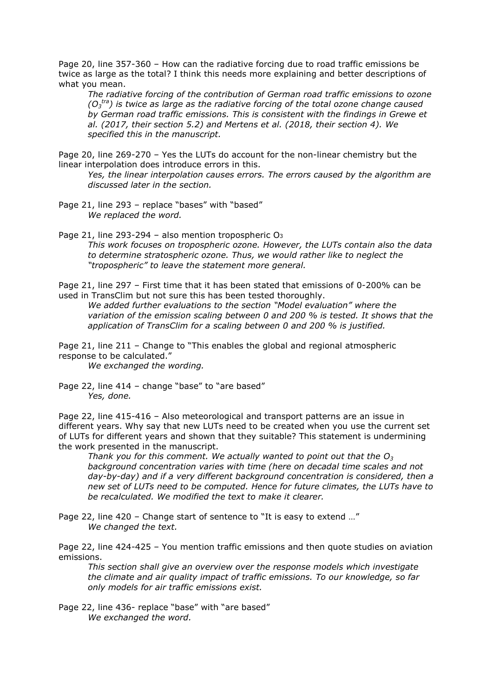Page 20, line 357-360 – How can the radiative forcing due to road traffic emissions be twice as large as the total? I think this needs more explaining and better descriptions of what you mean.

The radiative forcing of the contribution of German road traffic emissions to ozone  $(O_3^{\text{tra}})$  is twice as large as the radiative forcing of the total ozone change caused by German road traffic emissions. This is consistent with the findings in Grewe et al. (2017, their section 5.2) and Mertens et al. (2018, their section 4). We specified this in the manuscript.

Page 20, line 269-270 – Yes the LUTs do account for the non-linear chemistry but the linear interpolation does introduce errors in this.

Yes, the linear interpolation causes errors. The errors caused by the algorithm are discussed later in the section.

Page 21, line 293 - replace "bases" with "based" We replaced the word.

Page 21, line 293-294 – also mention tropospheric O<sub>3</sub> This work focuses on tropospheric ozone. However, the LUTs contain also the data to determine stratospheric ozone. Thus, we would rather like to neglect the "tropospheric" to leave the statement more general.

Page 21, line 297 – First time that it has been stated that emissions of 0-200% can be used in TransClim but not sure this has been tested thoroughly.

We added further evaluations to the section "Model evaluation" where the variation of the emission scaling between 0 and 200 % is tested. It shows that the application of TransClim for a scaling between 0 and 200 % is justified.

Page 21, line 211 – Change to "This enables the global and regional atmospheric response to be calculated."

We exchanged the wording.

Page 22, line 414 - change "base" to "are based" Yes, done.

Page 22, line 415-416 – Also meteorological and transport patterns are an issue in different years. Why say that new LUTs need to be created when you use the current set of LUTs for different years and shown that they suitable? This statement is undermining the work presented in the manuscript.

Thank you for this comment. We actually wanted to point out that the  $O_3$ background concentration varies with time (here on decadal time scales and not day-by-day) and if a very different background concentration is considered, then a new set of LUTs need to be computed. Hence for future climates, the LUTs have to be recalculated. We modified the text to make it clearer.

Page 22, line 420 – Change start of sentence to "It is easy to extend …" We changed the text.

Page 22, line 424-425 – You mention traffic emissions and then quote studies on aviation emissions.

This section shall give an overview over the response models which investigate the climate and air quality impact of traffic emissions. To our knowledge, so far only models for air traffic emissions exist.

Page 22, line 436- replace "base" with "are based" We exchanged the word.